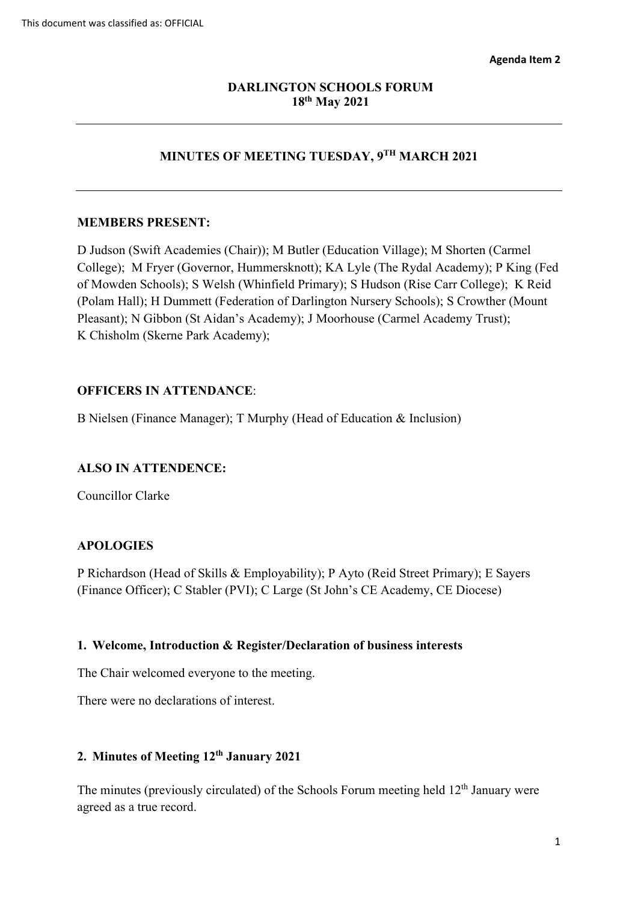# **18th May 2021 DARLINGTON SCHOOLS FORUM**

# **MINUTES OF MEETING TUESDAY, 9TH MARCH 2021**

### **MEMBERS PRESENT:**

 College); M Fryer (Governor, Hummersknott); KA Lyle (The Rydal Academy); P King (Fed of Mowden Schools); S Welsh (Whinfield Primary); S Hudson (Rise Carr College); K Reid (Polam Hall); H Dummett (Federation of Darlington Nursery Schools); S Crowther (Mount Pleasant); N Gibbon (St Aidan's Academy); J Moorhouse (Carmel Academy Trust); K Chisholm (Skerne Park Academy); D Judson (Swift Academies (Chair)); M Butler (Education Village); M Shorten (Carmel

# **OFFICERS IN ATTENDANCE**:

B Nielsen (Finance Manager); T Murphy (Head of Education & Inclusion)

## **ALSO IN ATTENDENCE:**

Councillor Clarke

## **APOLOGIES**

P Richardson (Head of Skills & Employability); P Ayto (Reid Street Primary); E Sayers (Finance Officer); C Stabler (PVI); C Large (St John's CE Academy, CE Diocese)

#### **1. Welcome, Introduction & Register/Declaration of business interests**

The Chair welcomed everyone to the meeting. There were no declarations of interest.

There were no declarations of interest.

## **2. Minutes of Meeting 12th January 2021**

The minutes (previously circulated) of the Schools Forum meeting held  $12<sup>th</sup>$  January were agreed as a true record.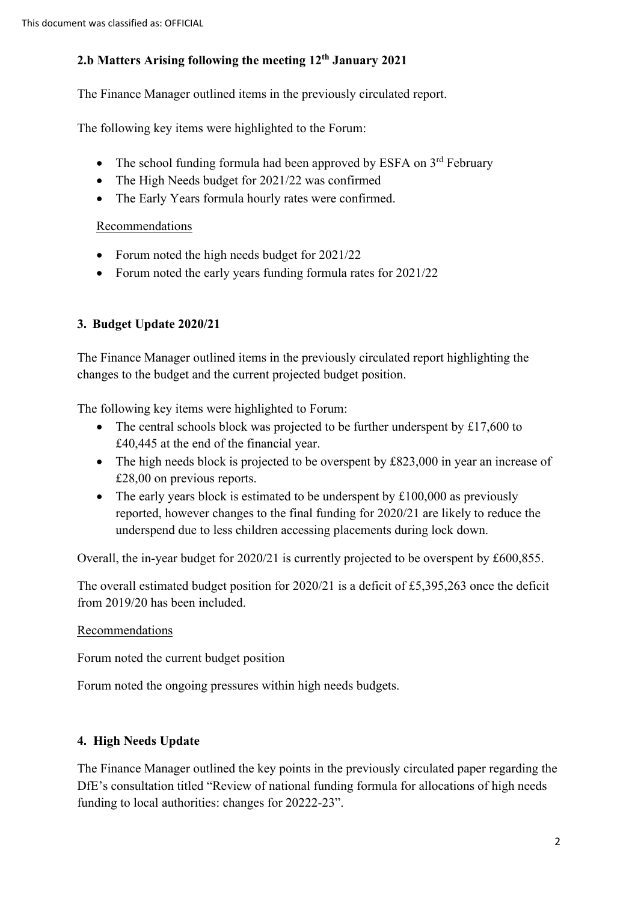# **2.b Matters Arising following the meeting 12th January 2021**

The Finance Manager outlined items in the previously circulated report.

The following key items were highlighted to the Forum:

- The school funding formula had been approved by ESFA on  $3<sup>rd</sup>$  February
- The High Needs budget for 2021/22 was confirmed
- The Early Years formula hourly rates were confirmed.

### Recommendations

- Forum noted the high needs budget for 2021/22
- Forum noted the early years funding formula rates for 2021/22

# **3. Budget Update 2020/21**

The Finance Manager outlined items in the previously circulated report highlighting the changes to the budget and the current projected budget position.

The following key items were highlighted to Forum:

- The central schools block was projected to be further underspent by £17,600 to £40,445 at the end of the financial year.
- The high needs block is projected to be overspent by £823,000 in year an increase of £28,00 on previous reports.
- The early years block is estimated to be underspent by  $£100,000$  as previously reported, however changes to the final funding for 2020/21 are likely to reduce the underspend due to less children accessing placements during lock down.

Overall, the in-year budget for 2020/21 is currently projected to be overspent by £600,855.

The overall estimated budget position for 2020/21 is a deficit of £5,395,263 once the deficit from 2019/20 has been included.

## Recommendations

Forum noted the current budget position

Forum noted the ongoing pressures within high needs budgets.

## **4. High Needs Update**

The Finance Manager outlined the key points in the previously circulated paper regarding the DfE's consultation titled "Review of national funding formula for allocations of high needs funding to local authorities: changes for 20222-23".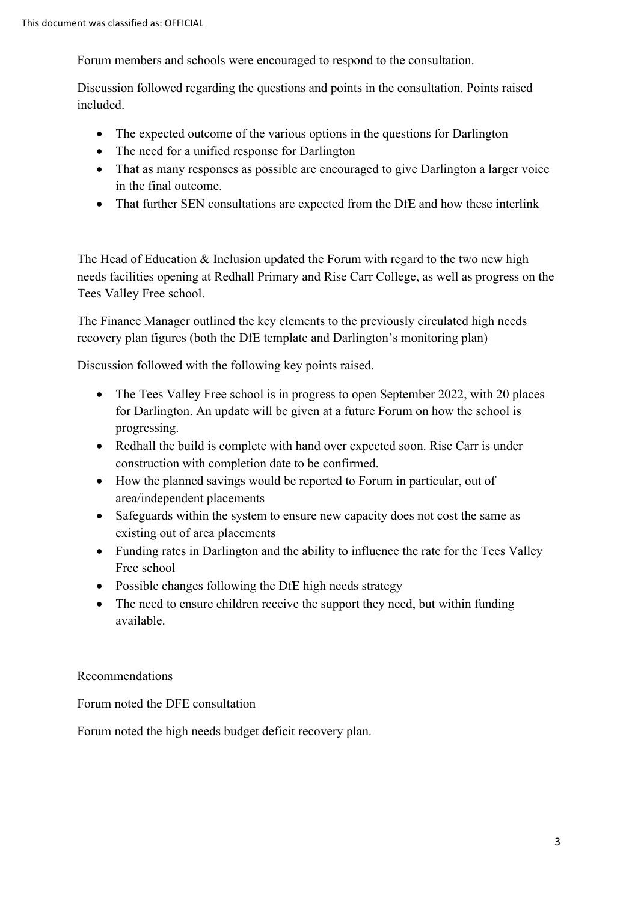Forum members and schools were encouraged to respond to the consultation.

Discussion followed regarding the questions and points in the consultation. Points raised included.

- The expected outcome of the various options in the questions for Darlington
- The need for a unified response for Darlington
- in the final outcome. • That as many responses as possible are encouraged to give Darlington a larger voice
- That further SEN consultations are expected from the DfE and how these interlink

The Head of Education & Inclusion updated the Forum with regard to the two new high needs facilities opening at Redhall Primary and Rise Carr College, as well as progress on the Tees Valley Free school.

 recovery plan figures (both the DfE template and Darlington's monitoring plan) The Finance Manager outlined the key elements to the previously circulated high needs

Discussion followed with the following key points raised.

- progressing. • The Tees Valley Free school is in progress to open September 2022, with 20 places for Darlington. An update will be given at a future Forum on how the school is
- • Redhall the build is complete with hand over expected soon. Rise Carr is under construction with completion date to be confirmed.
- • How the planned savings would be reported to Forum in particular, out of area/independent placements
- Safeguards within the system to ensure new capacity does not cost the same as existing out of area placements
- Funding rates in Darlington and the ability to influence the rate for the Tees Valley Free school
- Possible changes following the DfE high needs strategy
- The need to ensure children receive the support they need, but within funding available.

## Recommendations

Forum noted the DFE consultation

Forum noted the high needs budget deficit recovery plan.